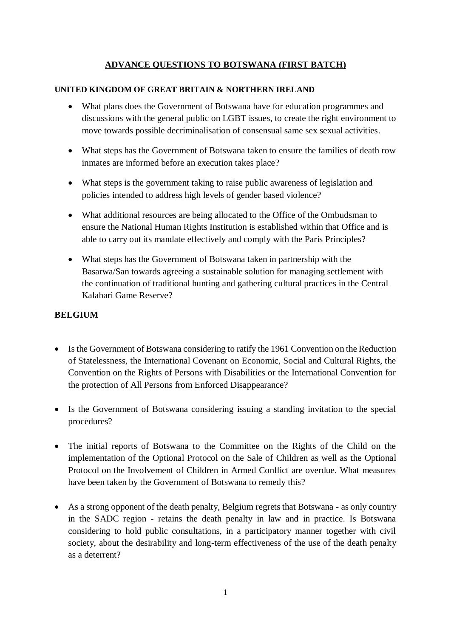# **ADVANCE QUESTIONS TO BOTSWANA (FIRST BATCH)**

#### **UNITED KINGDOM OF GREAT BRITAIN & NORTHERN IRELAND**

- What plans does the Government of Botswana have for education programmes and discussions with the general public on LGBT issues, to create the right environment to move towards possible decriminalisation of consensual same sex sexual activities.
- What steps has the Government of Botswana taken to ensure the families of death row inmates are informed before an execution takes place?
- What steps is the government taking to raise public awareness of legislation and policies intended to address high levels of gender based violence?
- What additional resources are being allocated to the Office of the Ombudsman to ensure the National Human Rights Institution is established within that Office and is able to carry out its mandate effectively and comply with the Paris Principles?
- What steps has the Government of Botswana taken in partnership with the Basarwa/San towards agreeing a sustainable solution for managing settlement with the continuation of traditional hunting and gathering cultural practices in the Central Kalahari Game Reserve?

### **BELGIUM**

- Is the Government of Botswana considering to ratify the 1961 Convention on the Reduction of Statelessness, the International Covenant on Economic, Social and Cultural Rights, the Convention on the Rights of Persons with Disabilities or the International Convention for the protection of All Persons from Enforced Disappearance?
- Is the Government of Botswana considering issuing a standing invitation to the special procedures?
- The initial reports of Botswana to the Committee on the Rights of the Child on the implementation of the Optional Protocol on the Sale of Children as well as the Optional Protocol on the Involvement of Children in Armed Conflict are overdue. What measures have been taken by the Government of Botswana to remedy this?
- As a strong opponent of the death penalty, Belgium regrets that Botswana as only country in the SADC region - retains the death penalty in law and in practice. Is Botswana considering to hold public consultations, in a participatory manner together with civil society, about the desirability and long-term effectiveness of the use of the death penalty as a deterrent?